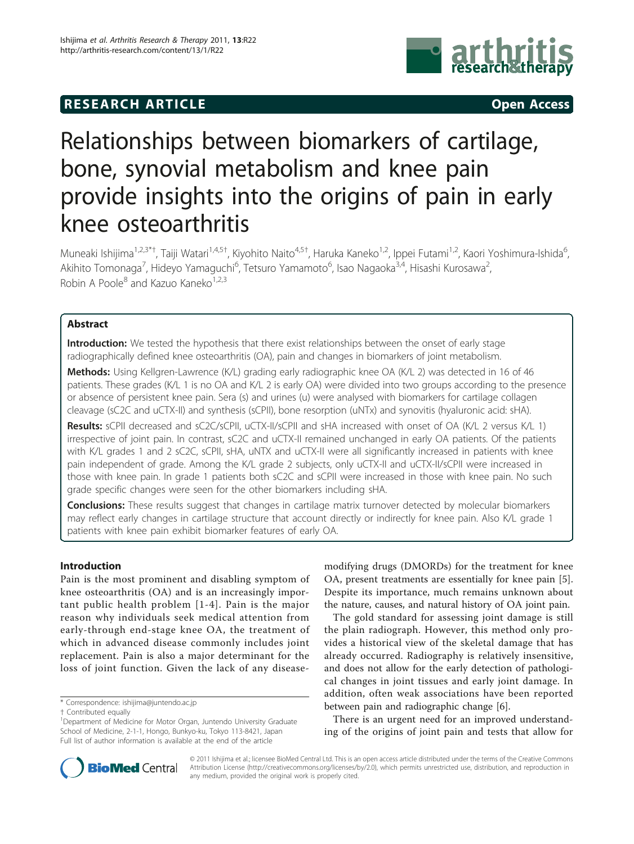## **RESEARCH ARTICLE Example 2014 CONSIDERING ACCESS**



# Relationships between biomarkers of cartilage, bone, synovial metabolism and knee pain provide insights into the origins of pain in early knee osteoarthritis

Muneaki Ishijima<sup>1,2,3\*†</sup>, Taiji Watari<sup>1,4,5†</sup>, Kiyohito Naito<sup>4,5†</sup>, Haruka Kaneko<sup>1,2</sup>, Ippei Futami<sup>1,2</sup>, Kaori Yoshimura-Ishida<sup>6</sup> י<br>, Akihito Tomonaga<sup>7</sup>, Hideyo Yamaguchi<sup>6</sup>, Tetsuro Yamamoto<sup>6</sup>, Isao Nagaoka<sup>3,4</sup>, Hisashi Kurosawa<sup>2</sup> , Robin A Poole<sup>8</sup> and Kazuo Kaneko<sup>1,2,3</sup>

## Abstract

Introduction: We tested the hypothesis that there exist relationships between the onset of early stage radiographically defined knee osteoarthritis (OA), pain and changes in biomarkers of joint metabolism.

Methods: Using Kellgren-Lawrence (K/L) grading early radiographic knee OA (K/L 2) was detected in 16 of 46 patients. These grades (K/L 1 is no OA and K/L 2 is early OA) were divided into two groups according to the presence or absence of persistent knee pain. Sera (s) and urines (u) were analysed with biomarkers for cartilage collagen cleavage (sC2C and uCTX-II) and synthesis (sCPII), bone resorption (uNTx) and synovitis (hyaluronic acid: sHA).

Results: sCPII decreased and sC2C/sCPII, uCTX-II/sCPII and sHA increased with onset of OA (K/L 2 versus K/L 1) irrespective of joint pain. In contrast, sC2C and uCTX-II remained unchanged in early OA patients. Of the patients with K/L grades 1 and 2 sC2C, sCPII, sHA, uNTX and uCTX-II were all significantly increased in patients with knee pain independent of grade. Among the K/L grade 2 subjects, only uCTX-II and uCTX-II/sCPII were increased in those with knee pain. In grade 1 patients both sC2C and sCPII were increased in those with knee pain. No such grade specific changes were seen for the other biomarkers including sHA.

**Conclusions:** These results suggest that changes in cartilage matrix turnover detected by molecular biomarkers may reflect early changes in cartilage structure that account directly or indirectly for knee pain. Also K/L grade 1 patients with knee pain exhibit biomarker features of early OA.

## Introduction

Pain is the most prominent and disabling symptom of knee osteoarthritis (OA) and is an increasingly important public health problem [[1](#page-6-0)-[4\]](#page-6-0). Pain is the major reason why individuals seek medical attention from early-through end-stage knee OA, the treatment of which in advanced disease commonly includes joint replacement. Pain is also a major determinant for the loss of joint function. Given the lack of any disease-

\* Correspondence: [ishijima@juntendo.ac.jp](mailto:ishijima@juntendo.ac.jp)

modifying drugs (DMORDs) for the treatment for knee OA, present treatments are essentially for knee pain [\[5](#page-6-0)]. Despite its importance, much remains unknown about the nature, causes, and natural history of OA joint pain.

The gold standard for assessing joint damage is still the plain radiograph. However, this method only provides a historical view of the skeletal damage that has already occurred. Radiography is relatively insensitive, and does not allow for the early detection of pathological changes in joint tissues and early joint damage. In addition, often weak associations have been reported between pain and radiographic change [[6](#page-6-0)].

There is an urgent need for an improved understanding of the origins of joint pain and tests that allow for



© 2011 Ishijima et al.; licensee BioMed Central Ltd. This is an open access article distributed under the terms of the Creative Commons Attribution License [\(http://creativecommons.org/licenses/by/2.0](http://creativecommons.org/licenses/by/2.0)), which permits unrestricted use, distribution, and reproduction in any medium, provided the original work is properly cited.

<sup>†</sup> Contributed equally <sup>1</sup>

<sup>&</sup>lt;sup>1</sup>Department of Medicine for Motor Organ, Juntendo University Graduate School of Medicine, 2-1-1, Hongo, Bunkyo-ku, Tokyo 113-8421, Japan Full list of author information is available at the end of the article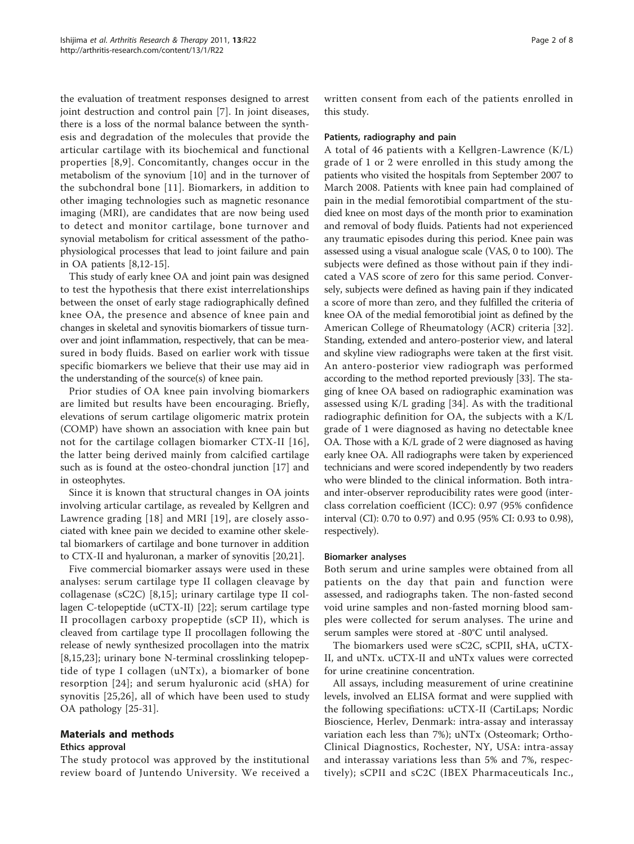the evaluation of treatment responses designed to arrest joint destruction and control pain [[7\]](#page-6-0). In joint diseases, there is a loss of the normal balance between the synthesis and degradation of the molecules that provide the articular cartilage with its biochemical and functional properties [\[8,9](#page-6-0)]. Concomitantly, changes occur in the metabolism of the synovium [\[10](#page-6-0)] and in the turnover of the subchondral bone [\[11\]](#page-6-0). Biomarkers, in addition to other imaging technologies such as magnetic resonance imaging (MRI), are candidates that are now being used to detect and monitor cartilage, bone turnover and synovial metabolism for critical assessment of the pathophysiological processes that lead to joint failure and pain in OA patients [\[8,12-15](#page-6-0)].

This study of early knee OA and joint pain was designed to test the hypothesis that there exist interrelationships between the onset of early stage radiographically defined knee OA, the presence and absence of knee pain and changes in skeletal and synovitis biomarkers of tissue turnover and joint inflammation, respectively, that can be measured in body fluids. Based on earlier work with tissue specific biomarkers we believe that their use may aid in the understanding of the source(s) of knee pain.

Prior studies of OA knee pain involving biomarkers are limited but results have been encouraging. Briefly, elevations of serum cartilage oligomeric matrix protein (COMP) have shown an association with knee pain but not for the cartilage collagen biomarker CTX-II [[16](#page-6-0)], the latter being derived mainly from calcified cartilage such as is found at the osteo-chondral junction [\[17](#page-6-0)] and in osteophytes.

Since it is known that structural changes in OA joints involving articular cartilage, as revealed by Kellgren and Lawrence grading [[18](#page-6-0)] and MRI [[19\]](#page-6-0), are closely associated with knee pain we decided to examine other skeletal biomarkers of cartilage and bone turnover in addition to CTX-II and hyaluronan, a marker of synovitis [\[20,21\]](#page-6-0).

Five commercial biomarker assays were used in these analyses: serum cartilage type II collagen cleavage by collagenase (sC2C) [[8,15](#page-6-0)]; urinary cartilage type II collagen C-telopeptide (uCTX-II) [[22](#page-6-0)]; serum cartilage type II procollagen carboxy propeptide (sCP II), which is cleaved from cartilage type II procollagen following the release of newly synthesized procollagen into the matrix [[8,15,23](#page-6-0)]; urinary bone N-terminal crosslinking telopeptide of type I collagen (uNTx), a biomarker of bone resorption [[24\]](#page-6-0); and serum hyaluronic acid (sHA) for synovitis [\[25,26](#page-6-0)], all of which have been used to study OA pathology [[25](#page-6-0)-[31\]](#page-6-0).

## Materials and methods

## Ethics approval

The study protocol was approved by the institutional review board of Juntendo University. We received a written consent from each of the patients enrolled in this study.

#### Patients, radiography and pain

A total of 46 patients with a Kellgren-Lawrence (K/L) grade of 1 or 2 were enrolled in this study among the patients who visited the hospitals from September 2007 to March 2008. Patients with knee pain had complained of pain in the medial femorotibial compartment of the studied knee on most days of the month prior to examination and removal of body fluids. Patients had not experienced any traumatic episodes during this period. Knee pain was assessed using a visual analogue scale (VAS, 0 to 100). The subjects were defined as those without pain if they indicated a VAS score of zero for this same period. Conversely, subjects were defined as having pain if they indicated a score of more than zero, and they fulfilled the criteria of knee OA of the medial femorotibial joint as defined by the American College of Rheumatology (ACR) criteria [[32](#page-6-0)]. Standing, extended and antero-posterior view, and lateral and skyline view radiographs were taken at the first visit. An antero-posterior view radiograph was performed according to the method reported previously [\[33\]](#page-6-0). The staging of knee OA based on radiographic examination was assessed using K/L grading [[34\]](#page-7-0). As with the traditional radiographic definition for OA, the subjects with a K/L grade of 1 were diagnosed as having no detectable knee OA. Those with a K/L grade of 2 were diagnosed as having early knee OA. All radiographs were taken by experienced technicians and were scored independently by two readers who were blinded to the clinical information. Both intraand inter-observer reproducibility rates were good (interclass correlation coefficient (ICC): 0.97 (95% confidence interval (CI): 0.70 to 0.97) and 0.95 (95% CI: 0.93 to 0.98), respectively).

#### Biomarker analyses

Both serum and urine samples were obtained from all patients on the day that pain and function were assessed, and radiographs taken. The non-fasted second void urine samples and non-fasted morning blood samples were collected for serum analyses. The urine and serum samples were stored at -80°C until analysed.

The biomarkers used were sC2C, sCPII, sHA, uCTX-II, and uNTx. uCTX-II and uNTx values were corrected for urine creatinine concentration.

All assays, including measurement of urine creatinine levels, involved an ELISA format and were supplied with the following specifiations: uCTX-II (CartiLaps; Nordic Bioscience, Herlev, Denmark: intra-assay and interassay variation each less than 7%); uNTx (Osteomark; Ortho-Clinical Diagnostics, Rochester, NY, USA: intra-assay and interassay variations less than 5% and 7%, respectively); sCPII and sC2C (IBEX Pharmaceuticals Inc.,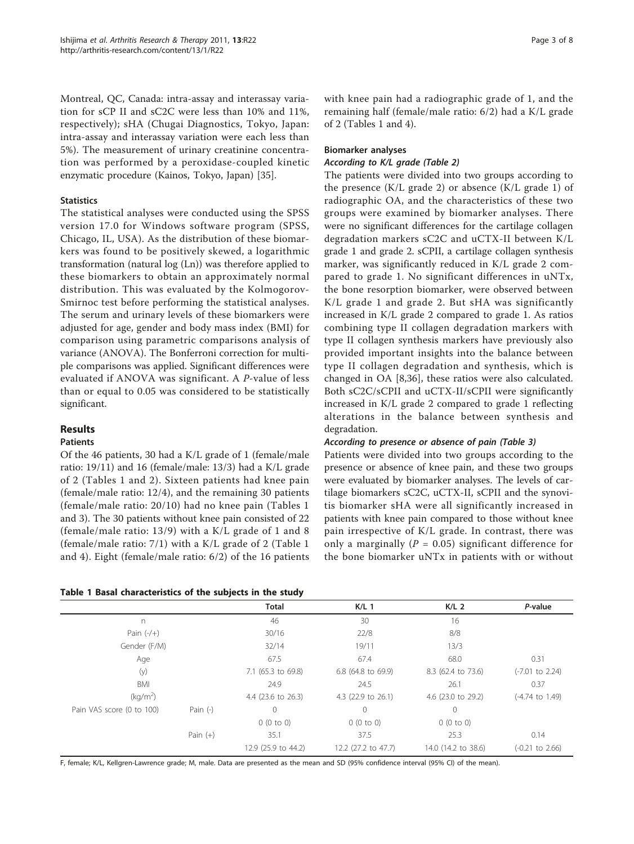Montreal, QC, Canada: intra-assay and interassay variation for sCP II and sC2C were less than 10% and 11%, respectively); sHA (Chugai Diagnostics, Tokyo, Japan: intra-assay and interassay variation were each less than 5%). The measurement of urinary creatinine concentration was performed by a peroxidase-coupled kinetic enzymatic procedure (Kainos, Tokyo, Japan) [[35\]](#page-7-0).

## **Statistics**

The statistical analyses were conducted using the SPSS version 17.0 for Windows software program (SPSS, Chicago, IL, USA). As the distribution of these biomarkers was found to be positively skewed, a logarithmic transformation (natural log (Ln)) was therefore applied to these biomarkers to obtain an approximately normal distribution. This was evaluated by the Kolmogorov-Smirnoc test before performing the statistical analyses. The serum and urinary levels of these biomarkers were adjusted for age, gender and body mass index (BMI) for comparison using parametric comparisons analysis of variance (ANOVA). The Bonferroni correction for multiple comparisons was applied. Significant differences were evaluated if ANOVA was significant. A P-value of less than or equal to 0.05 was considered to be statistically significant.

## Results

## Patients

Of the 46 patients, 30 had a K/L grade of 1 (female/male ratio: 19/11) and 16 (female/male: 13/3) had a K/L grade of 2 (Tables 1 and [2\)](#page-3-0). Sixteen patients had knee pain (female/male ratio: 12/4), and the remaining 30 patients (female/male ratio: 20/10) had no knee pain (Tables 1 and [3](#page-3-0)). The 30 patients without knee pain consisted of 22 (female/male ratio: 13/9) with a K/L grade of 1 and 8 (female/male ratio: 7/1) with a K/L grade of 2 (Table 1 and [4](#page-4-0)). Eight (female/male ratio: 6/2) of the 16 patients with knee pain had a radiographic grade of 1, and the remaining half (female/male ratio: 6/2) had a K/L grade of 2 (Tables 1 and [4\)](#page-4-0).

#### Biomarker analyses

#### According to K/L grade (Table [2](#page-3-0))

The patients were divided into two groups according to the presence  $(K/L)$  grade 2) or absence  $(K/L)$  grade 1) of radiographic OA, and the characteristics of these two groups were examined by biomarker analyses. There were no significant differences for the cartilage collagen degradation markers sC2C and uCTX-II between K/L grade 1 and grade 2. sCPII, a cartilage collagen synthesis marker, was significantly reduced in K/L grade 2 compared to grade 1. No significant differences in uNTx, the bone resorption biomarker, were observed between K/L grade 1 and grade 2. But sHA was significantly increased in K/L grade 2 compared to grade 1. As ratios combining type II collagen degradation markers with type II collagen synthesis markers have previously also provided important insights into the balance between type II collagen degradation and synthesis, which is changed in OA [\[8](#page-6-0)[,36](#page-7-0)], these ratios were also calculated. Both sC2C/sCPII and uCTX-II/sCPII were significantly increased in K/L grade 2 compared to grade 1 reflecting alterations in the balance between synthesis and degradation.

## According to presence or absence of pain (Table [3\)](#page-3-0)

Patients were divided into two groups according to the presence or absence of knee pain, and these two groups were evaluated by biomarker analyses. The levels of cartilage biomarkers sC2C, uCTX-II, sCPII and the synovitis biomarker sHA were all significantly increased in patients with knee pain compared to those without knee pain irrespective of K/L grade. In contrast, there was only a marginally ( $P = 0.05$ ) significant difference for the bone biomarker uNTx in patients with or without

| Table 1 Basal characteristics of the subjects in the study |  |
|------------------------------------------------------------|--|
|------------------------------------------------------------|--|

|                           |            | <b>Total</b>        | $K/L$ 1                       | K/L <sub>2</sub>    | P-value                    |
|---------------------------|------------|---------------------|-------------------------------|---------------------|----------------------------|
| n                         |            | 46                  | 30                            | 16                  |                            |
| Pain $(-/+)$              |            | 30/16               | 22/8                          | 8/8                 |                            |
| Gender (F/M)              |            | 32/14               | 19/11                         | 13/3                |                            |
| Age                       |            | 67.5                | 67.4                          | 68.0                | 0.31                       |
| (y)                       |            | 7.1 (65.3 to 69.8)  | 6.8 (64.8 to 69.9)            | 8.3 (62.4 to 73.6)  | $(-7.01 \text{ to } 2.24)$ |
| BMI                       |            | 24.9                | 24.5                          | 26.1                | 0.37                       |
| (kq/m <sup>2</sup> )      |            | 4.4 (23.6 to 26.3)  | 4.3 $(22.9 \text{ to } 26.1)$ | 4.6 (23.0 to 29.2)  | $(-4.74 \text{ to } 1.49)$ |
| Pain VAS score (0 to 100) | Pain $(-)$ | $\Omega$            | $\mathbf{0}$                  | $\Omega$            |                            |
|                           |            | 0(0 to 0)           | 0(0 to 0)                     | 0(0 to 0)           |                            |
|                           | Pain $(+)$ | 35.1                | 37.5                          | 25.3                | 0.14                       |
|                           |            | 12.9 (25.9 to 44.2) | 12.2 (27.2 to 47.7)           | 14.0 (14.2 to 38.6) | $(-0.21 \text{ to } 2.66)$ |

F, female; K/L, Kellgren-Lawrence grade; M, male. Data are presented as the mean and SD (95% confidence interval (95% CI) of the mean).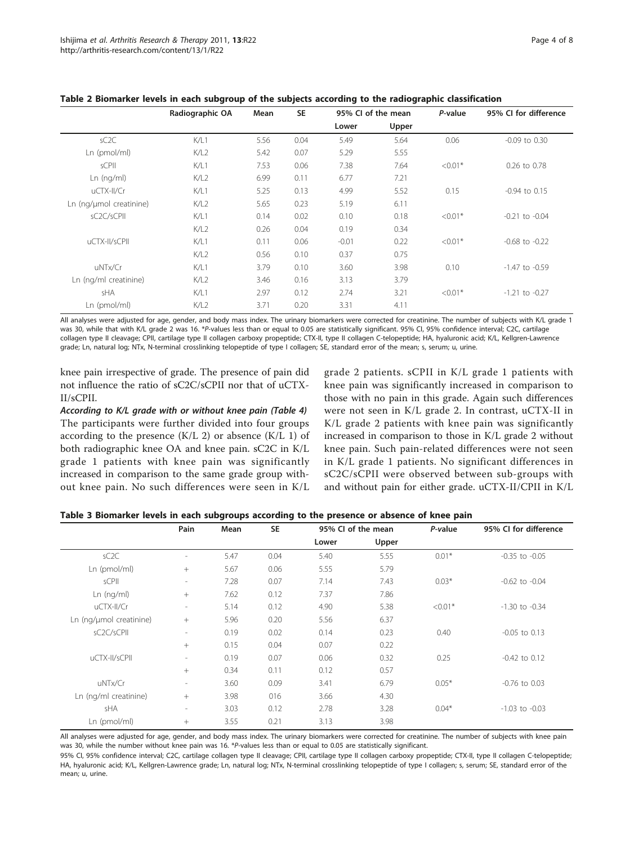|                         | Radiographic OA | Mean | <b>SE</b> | 95% CI of the mean |       | P-value   | 95% CI for difference |
|-------------------------|-----------------|------|-----------|--------------------|-------|-----------|-----------------------|
|                         |                 |      |           | Lower              | Upper |           |                       |
| SC2C                    | K/L1            | 5.56 | 0.04      | 5.49               | 5.64  | 0.06      | $-0.09$ to $0.30$     |
| Ln (pmol/ml)            | K/L2            | 5.42 | 0.07      | 5.29               | 5.55  |           |                       |
| sCPII                   | K/L1            | 7.53 | 0.06      | 7.38               | 7.64  | $< 0.01*$ | 0.26 to 0.78          |
| Ln (nq/ml)              | K/L2            | 6.99 | 0.11      | 6.77               | 7.21  |           |                       |
| uCTX-II/Cr              | K/L1            | 5.25 | 0.13      | 4.99               | 5.52  | 0.15      | $-0.94$ to $0.15$     |
| Ln (ng/µmol creatinine) | K/L2            | 5.65 | 0.23      | 5.19               | 6.11  |           |                       |
| sC2C/sCPII              | K/L1            | 0.14 | 0.02      | 0.10               | 0.18  | $< 0.01*$ | $-0.21$ to $-0.04$    |
|                         | K/L2            | 0.26 | 0.04      | 0.19               | 0.34  |           |                       |
| uCTX-II/sCPII           | K/L1            | 0.11 | 0.06      | $-0.01$            | 0.22  | $< 0.01*$ | $-0.68$ to $-0.22$    |
|                         | K/L2            | 0.56 | 0.10      | 0.37               | 0.75  |           |                       |
| uNTx/Cr                 | K/L1            | 3.79 | 0.10      | 3.60               | 3.98  | 0.10      | $-1.47$ to $-0.59$    |
| Ln (ng/ml creatinine)   | K/L2            | 3.46 | 0.16      | 3.13               | 3.79  |           |                       |
| sHA                     | K/L1            | 2.97 | 0.12      | 2.74               | 3.21  | $< 0.01*$ | $-1.21$ to $-0.27$    |
| Ln (pmol/ml)            | K/L2            | 3.71 | 0.20      | 3.31               | 4.11  |           |                       |

<span id="page-3-0"></span>Table 2 Biomarker levels in each subgroup of the subjects according to the radiographic classification

All analyses were adjusted for age, gender, and body mass index. The urinary biomarkers were corrected for creatinine. The number of subjects with K/L grade 1 was 30, while that with K/L grade 2 was 16. \*P-values less than or equal to 0.05 are statistically significant. 95% CI, 95% confidence interval; C2C, cartilage collagen type II cleavage; CPII, cartilage type II collagen carboxy propeptide; CTX-II, type II collagen C-telopeptide; HA, hyaluronic acid; K/L, Kellgren-Lawrence grade; Ln, natural log; NTx, N-terminal crosslinking telopeptide of type I collagen; SE, standard error of the mean; s, serum; u, urine.

knee pain irrespective of grade. The presence of pain did not influence the ratio of sC2C/sCPII nor that of uCTX-II/sCPII.

According to K/L grade with or without knee pain (Table [4\)](#page-4-0) The participants were further divided into four groups according to the presence  $(K/L 2)$  or absence  $(K/L 1)$  of both radiographic knee OA and knee pain. sC2C in K/L grade 1 patients with knee pain was significantly increased in comparison to the same grade group without knee pain. No such differences were seen in K/L

grade 2 patients. sCPII in K/L grade 1 patients with knee pain was significantly increased in comparison to those with no pain in this grade. Again such differences were not seen in K/L grade 2. In contrast, uCTX-II in K/L grade 2 patients with knee pain was significantly increased in comparison to those in K/L grade 2 without knee pain. Such pain-related differences were not seen in K/L grade 1 patients. No significant differences in sC2C/sCPII were observed between sub-groups with and without pain for either grade. uCTX-II/CPII in K/L

| Table 3 Biomarker levels in each subgroups according to the presence or absence of knee pain |  |  |  |  |  |  |  |  |
|----------------------------------------------------------------------------------------------|--|--|--|--|--|--|--|--|
|----------------------------------------------------------------------------------------------|--|--|--|--|--|--|--|--|

|                         | Pain                     | Mean | <b>SE</b> |       | 95% CI of the mean | P-value   | 95% CI for difference |
|-------------------------|--------------------------|------|-----------|-------|--------------------|-----------|-----------------------|
|                         |                          |      |           | Lower | Upper              |           |                       |
| SC2C                    | $\overline{\phantom{a}}$ | 5.47 | 0.04      | 5.40  | 5.55               | $0.01*$   | $-0.35$ to $-0.05$    |
| Ln (pmol/ml)            | $^{+}$                   | 5.67 | 0.06      | 5.55  | 5.79               |           |                       |
| sCPII                   | $\overline{\phantom{a}}$ | 7.28 | 0.07      | 7.14  | 7.43               | $0.03*$   | $-0.62$ to $-0.04$    |
| Ln (nq/ml)              | $+$                      | 7.62 | 0.12      | 7.37  | 7.86               |           |                       |
| uCTX-II/Cr              | $\sim$                   | 5.14 | 0.12      | 4.90  | 5.38               | $< 0.01*$ | $-1.30$ to $-0.34$    |
| Ln (ng/µmol creatinine) | $+$                      | 5.96 | 0.20      | 5.56  | 6.37               |           |                       |
| sC2C/sCPII              | $\sim$                   | 0.19 | 0.02      | 0.14  | 0.23               | 0.40      | $-0.05$ to $0.13$     |
|                         | $+$                      | 0.15 | 0.04      | 0.07  | 0.22               |           |                       |
| uCTX-II/sCPII           | $\overline{\phantom{a}}$ | 0.19 | 0.07      | 0.06  | 0.32               | 0.25      | $-0.42$ to $0.12$     |
|                         | $+$                      | 0.34 | 0.11      | 0.12  | 0.57               |           |                       |
| uNTx/Cr                 | $\sim$                   | 3.60 | 0.09      | 3.41  | 6.79               | $0.05*$   | $-0.76$ to $0.03$     |
| Ln (ng/ml creatinine)   | $+$                      | 3.98 | 016       | 3.66  | 4.30               |           |                       |
| sHA                     | $\sim$                   | 3.03 | 0.12      | 2.78  | 3.28               | $0.04*$   | $-1.03$ to $-0.03$    |
| Ln (pmol/ml)            | $+$                      | 3.55 | 0.21      | 3.13  | 3.98               |           |                       |

All analyses were adjusted for age, gender, and body mass index. The urinary biomarkers were corrected for creatinine. The number of subjects with knee pain was 30, while the number without knee pain was 16. \*P-values less than or equal to 0.05 are statistically significant.

95% CI, 95% confidence interval; C2C, cartilage collagen type II cleavage; CPII, cartilage type II collagen carboxy propeptide; CTX-II, type II collagen C-telopeptide; HA, hyaluronic acid; K/L, Kellgren-Lawrence grade; Ln, natural log; NTx, N-terminal crosslinking telopeptide of type I collagen; s, serum; SE, standard error of the mean; u, urine.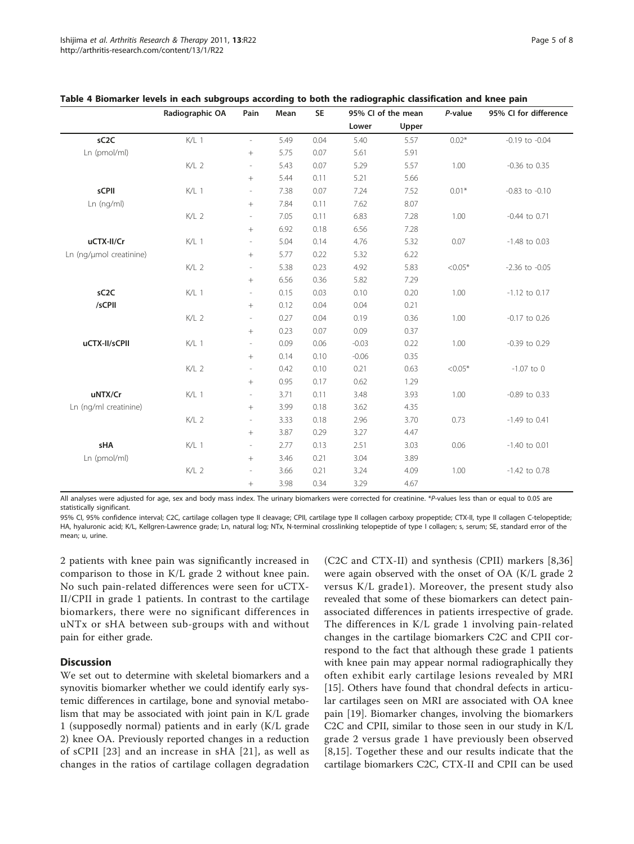|                         | Radiographic OA  | Pain                     | Mean | <b>SE</b> |         | 95% CI of the mean | P-value   | 95% CI for difference |
|-------------------------|------------------|--------------------------|------|-----------|---------|--------------------|-----------|-----------------------|
|                         |                  |                          |      |           | Lower   | Upper              |           |                       |
| sC <sub>2</sub> C       | K/L 1            | $\overline{\phantom{a}}$ | 5.49 | 0.04      | 5.40    | 5.57               | $0.02*$   | $-0.19$ to $-0.04$    |
| Ln (pmol/ml)            |                  |                          | 5.75 | 0.07      | 5.61    | 5.91               |           |                       |
|                         | $K/L$ 2          | ÷,                       | 5.43 | 0.07      | 5.29    | 5.57               | 1.00      | $-0.36$ to $0.35$     |
|                         |                  |                          | 5.44 | 0.11      | 5.21    | 5.66               |           |                       |
| sCPII                   | K/L 1            | $\overline{\phantom{a}}$ | 7.38 | 0.07      | 7.24    | 7.52               | $0.01*$   | $-0.83$ to $-0.10$    |
| Ln (nq/ml)              |                  | $\! +$                   | 7.84 | 0.11      | 7.62    | 8.07               |           |                       |
|                         | $K/L$ 2          | $\overline{\phantom{a}}$ | 7.05 | 0.11      | 6.83    | 7.28               | 1.00      | $-0.44$ to 0.71       |
|                         |                  |                          | 6.92 | 0.18      | 6.56    | 7.28               |           |                       |
| uCTX-II/Cr              | K/L 1            | $\overline{\phantom{a}}$ | 5.04 | 0.14      | 4.76    | 5.32               | 0.07      | $-1.48$ to 0.03       |
| Ln (ng/µmol creatinine) |                  | $\! + \!\!\!\!$          | 5.77 | 0.22      | 5.32    | 6.22               |           |                       |
|                         | K/L <sub>2</sub> | $\overline{\phantom{a}}$ | 5.38 | 0.23      | 4.92    | 5.83               | $< 0.05*$ | $-2.36$ to $-0.05$    |
|                         |                  | $\! +$                   | 6.56 | 0.36      | 5.82    | 7.29               |           |                       |
| sC <sub>2</sub> C       | K/L 1            | $\overline{\phantom{a}}$ | 0.15 | 0.03      | 0.10    | 0.20               | 1.00      | $-1.12$ to 0.17       |
| /sCPII                  |                  |                          | 0.12 | 0.04      | 0.04    | 0.21               |           |                       |
|                         | $K/L$ 2          | $\overline{\phantom{a}}$ | 0.27 | 0.04      | 0.19    | 0.36               | 1.00      | $-0.17$ to 0.26       |
|                         |                  | $\! +$                   | 0.23 | 0.07      | 0.09    | 0.37               |           |                       |
| uCTX-II/sCPII           | K/L 1            | $\overline{\phantom{a}}$ | 0.09 | 0.06      | $-0.03$ | 0.22               | 1.00      | -0.39 to 0.29         |
|                         |                  | $\! + \!\!\!\!$          | 0.14 | 0.10      | $-0.06$ | 0.35               |           |                       |
|                         | K/L <sub>2</sub> | $\overline{\phantom{a}}$ | 0.42 | 0.10      | 0.21    | 0.63               | $< 0.05*$ | $-1.07$ to 0          |
|                         |                  | $^{+}$                   | 0.95 | 0.17      | 0.62    | 1.29               |           |                       |
| uNTX/Cr                 | $K/L$ 1          | $\overline{\phantom{a}}$ | 3.71 | 0.11      | 3.48    | 3.93               | 1.00      | -0.89 to 0.33         |
| Ln (ng/ml creatinine)   |                  |                          | 3.99 | 0.18      | 3.62    | 4.35               |           |                       |
|                         | $K/L$ 2          | $\overline{\phantom{a}}$ | 3.33 | 0.18      | 2.96    | 3.70               | 0.73      | $-1.49$ to 0.41       |
|                         |                  |                          | 3.87 | 0.29      | 3.27    | 4.47               |           |                       |
| sHA                     | K/L 1            | $\overline{\phantom{a}}$ | 2.77 | 0.13      | 2.51    | 3.03               | 0.06      | $-1.40$ to 0.01       |
| Ln (pmol/ml)            |                  |                          | 3.46 | 0.21      | 3.04    | 3.89               |           |                       |
|                         | $K/L$ 2          | $\overline{\phantom{a}}$ | 3.66 | 0.21      | 3.24    | 4.09               | 1.00      | $-1.42$ to 0.78       |
|                         |                  | $\! +$                   | 3.98 | 0.34      | 3.29    | 4.67               |           |                       |

<span id="page-4-0"></span>

| Table 4 Biomarker levels in each subgroups according to both the radiographic classification and knee pain |  |  |  |
|------------------------------------------------------------------------------------------------------------|--|--|--|
|------------------------------------------------------------------------------------------------------------|--|--|--|

All analyses were adjusted for age, sex and body mass index. The urinary biomarkers were corrected for creatinine. \*P-values less than or equal to 0.05 are statistically significant.

95% CI, 95% confidence interval; C2C, cartilage collagen type II cleavage; CPII, cartilage type II collagen carboxy propeptide; CTX-II, type II collagen C-telopeptide; HA, hyaluronic acid; K/L, Kellgren-Lawrence grade; Ln, natural log; NTx, N-terminal crosslinking telopeptide of type I collagen; s, serum; SE, standard error of the mean; u, urine.

2 patients with knee pain was significantly increased in comparison to those in K/L grade 2 without knee pain. No such pain-related differences were seen for uCTX-II/CPII in grade 1 patients. In contrast to the cartilage biomarkers, there were no significant differences in uNTx or sHA between sub-groups with and without pain for either grade.

## **Discussion**

We set out to determine with skeletal biomarkers and a synovitis biomarker whether we could identify early systemic differences in cartilage, bone and synovial metabolism that may be associated with joint pain in K/L grade 1 (supposedly normal) patients and in early (K/L grade 2) knee OA. Previously reported changes in a reduction of sCPII [[23](#page-6-0)] and an increase in sHA [[21\]](#page-6-0), as well as changes in the ratios of cartilage collagen degradation

(C2C and CTX-II) and synthesis (CPII) markers [[8,](#page-6-0)[36](#page-7-0)] were again observed with the onset of OA (K/L grade 2 versus K/L grade1). Moreover, the present study also revealed that some of these biomarkers can detect painassociated differences in patients irrespective of grade. The differences in K/L grade 1 involving pain-related changes in the cartilage biomarkers C2C and CPII correspond to the fact that although these grade 1 patients with knee pain may appear normal radiographically they often exhibit early cartilage lesions revealed by MRI [[15\]](#page-6-0). Others have found that chondral defects in articular cartilages seen on MRI are associated with OA knee pain [\[19](#page-6-0)]. Biomarker changes, involving the biomarkers C2C and CPII, similar to those seen in our study in K/L grade 2 versus grade 1 have previously been observed [[8,15](#page-6-0)]. Together these and our results indicate that the cartilage biomarkers C2C, CTX-II and CPII can be used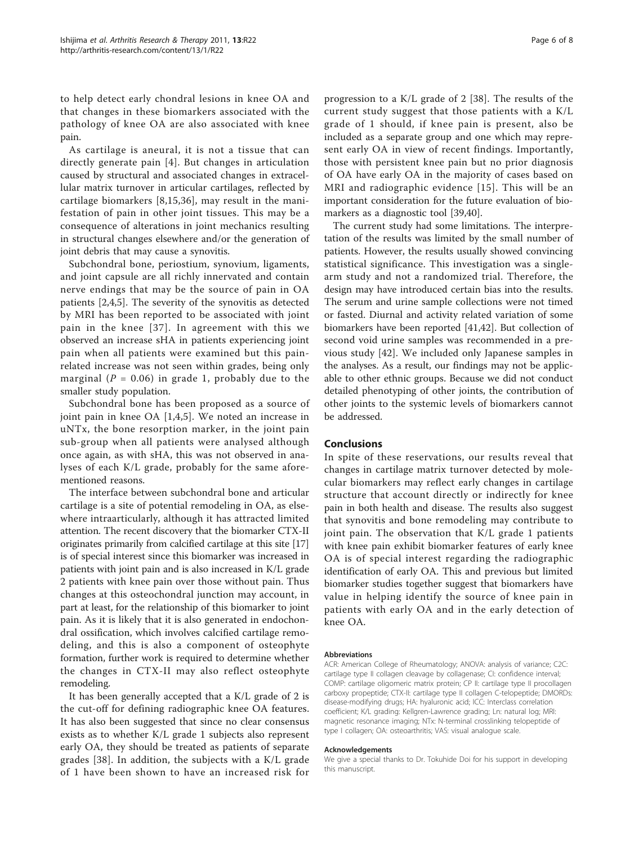to help detect early chondral lesions in knee OA and that changes in these biomarkers associated with the pathology of knee OA are also associated with knee pain.

As cartilage is aneural, it is not a tissue that can directly generate pain [[4](#page-6-0)]. But changes in articulation caused by structural and associated changes in extracellular matrix turnover in articular cartilages, reflected by cartilage biomarkers [[8,15](#page-6-0),[36\]](#page-7-0), may result in the manifestation of pain in other joint tissues. This may be a consequence of alterations in joint mechanics resulting in structural changes elsewhere and/or the generation of joint debris that may cause a synovitis.

Subchondral bone, periostium, synovium, ligaments, and joint capsule are all richly innervated and contain nerve endings that may be the source of pain in OA patients [[2,4,5\]](#page-6-0). The severity of the synovitis as detected by MRI has been reported to be associated with joint pain in the knee [[37\]](#page-7-0). In agreement with this we observed an increase sHA in patients experiencing joint pain when all patients were examined but this painrelated increase was not seen within grades, being only marginal ( $P = 0.06$ ) in grade 1, probably due to the smaller study population.

Subchondral bone has been proposed as a source of joint pain in knee OA [\[1](#page-6-0),[4,5](#page-6-0)]. We noted an increase in uNTx, the bone resorption marker, in the joint pain sub-group when all patients were analysed although once again, as with sHA, this was not observed in analyses of each K/L grade, probably for the same aforementioned reasons.

The interface between subchondral bone and articular cartilage is a site of potential remodeling in OA, as elsewhere intraarticularly, although it has attracted limited attention. The recent discovery that the biomarker CTX-II originates primarily from calcified cartilage at this site [[17](#page-6-0)] is of special interest since this biomarker was increased in patients with joint pain and is also increased in K/L grade 2 patients with knee pain over those without pain. Thus changes at this osteochondral junction may account, in part at least, for the relationship of this biomarker to joint pain. As it is likely that it is also generated in endochondral ossification, which involves calcified cartilage remodeling, and this is also a component of osteophyte formation, further work is required to determine whether the changes in CTX-II may also reflect osteophyte remodeling.

It has been generally accepted that a K/L grade of 2 is the cut-off for defining radiographic knee OA features. It has also been suggested that since no clear consensus exists as to whether K/L grade 1 subjects also represent early OA, they should be treated as patients of separate grades [[38\]](#page-7-0). In addition, the subjects with a K/L grade of 1 have been shown to have an increased risk for

progression to a K/L grade of 2 [[38\]](#page-7-0). The results of the current study suggest that those patients with a K/L grade of 1 should, if knee pain is present, also be included as a separate group and one which may represent early OA in view of recent findings. Importantly, those with persistent knee pain but no prior diagnosis of OA have early OA in the majority of cases based on MRI and radiographic evidence [[15](#page-6-0)]. This will be an important consideration for the future evaluation of biomarkers as a diagnostic tool [\[39,40](#page-7-0)].

The current study had some limitations. The interpretation of the results was limited by the small number of patients. However, the results usually showed convincing statistical significance. This investigation was a singlearm study and not a randomized trial. Therefore, the design may have introduced certain bias into the results. The serum and urine sample collections were not timed or fasted. Diurnal and activity related variation of some biomarkers have been reported [[41](#page-7-0),[42](#page-7-0)]. But collection of second void urine samples was recommended in a previous study [[42\]](#page-7-0). We included only Japanese samples in the analyses. As a result, our findings may not be applicable to other ethnic groups. Because we did not conduct detailed phenotyping of other joints, the contribution of other joints to the systemic levels of biomarkers cannot be addressed.

#### Conclusions

In spite of these reservations, our results reveal that changes in cartilage matrix turnover detected by molecular biomarkers may reflect early changes in cartilage structure that account directly or indirectly for knee pain in both health and disease. The results also suggest that synovitis and bone remodeling may contribute to joint pain. The observation that K/L grade 1 patients with knee pain exhibit biomarker features of early knee OA is of special interest regarding the radiographic identification of early OA. This and previous but limited biomarker studies together suggest that biomarkers have value in helping identify the source of knee pain in patients with early OA and in the early detection of knee OA.

#### Abbreviations

ACR: American College of Rheumatology; ANOVA: analysis of variance; C2C: cartilage type II collagen cleavage by collagenase; CI: confidence interval; COMP: cartilage oligomeric matrix protein; CP II: cartilage type II procollagen carboxy propeptide; CTX-II: cartilage type II collagen C-telopeptide; DMORDs: disease-modifying drugs; HA: hyaluronic acid; ICC: Interclass correlation coefficient; K/L grading: Kellgren-Lawrence grading; Ln: natural log; MRI: magnetic resonance imaging; NTx: N-terminal crosslinking telopeptide of type I collagen; OA: osteoarthritis; VAS: visual analogue scale.

#### Acknowledgements

We give a special thanks to Dr. Tokuhide Doi for his support in developing this manuscript.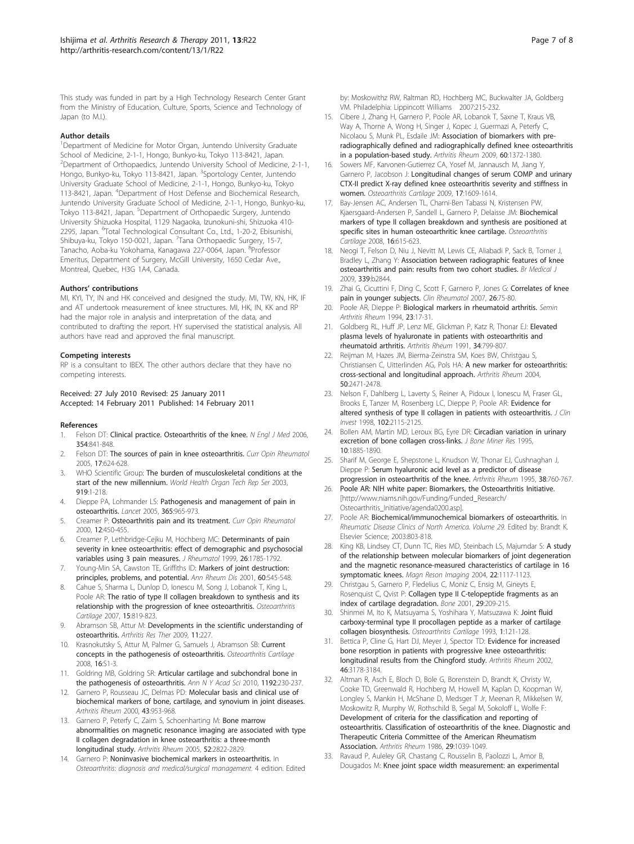<span id="page-6-0"></span>This study was funded in part by a High Technology Research Center Grant from the Ministry of Education, Culture, Sports, Science and Technology of Japan (to M.I.).

#### Author details

<sup>1</sup>Department of Medicine for Motor Organ, Juntendo University Graduate School of Medicine, 2-1-1, Hongo, Bunkyo-ku, Tokyo 113-8421, Japan. <sup>2</sup> Department of Orthopaedics, Juntendo University School of Medicine, 2-1-1, Hongo, Bunkyo-ku, Tokyo 113-8421, Japan. <sup>3</sup>Sportology Center, Juntendo University Graduate School of Medicine, 2-1-1, Hongo, Bunkyo-ku, Tokyo 113-8421, Japan. <sup>4</sup> Department of Host Defense and Biochemical Research, Juntendo University Graduate School of Medicine, 2-1-1, Hongo, Bunkyo-ku, Tokyo 113-8421, Japan. <sup>5</sup>Department of Orthopaedic Surgery, Juntendo University Shizuoka Hospital, 1129 Nagaoka, Izunokuni-shi, Shizuoka 410- 2295, Japan. <sup>6</sup>Total Technological Consultant Co., Ltd., 1-20-2, Ebisunishi, Shibuya-ku, Tokyo 150-0021, Japan. <sup>7</sup>Tana Orthopaedic Surgery, 15-7, Tanacho, Aoba-ku Yokohama, Kanagawa 227-0064, Japan. <sup>8</sup>Professor Emeritus, Department of Surgery, McGill University, 1650 Cedar Ave., Montreal, Quebec, H3G 1A4, Canada.

#### Authors' contributions

MI, KYI, TY, IN and HK conceived and designed the study. MI, TW, KN, HK, IF and AT undertook measurement of knee structures. MI, HK, IN, KK and RP had the major role in analysis and interpretation of the data, and contributed to drafting the report. HY supervised the statistical analysis. All authors have read and approved the final manuscript.

#### Competing interests

RP is a consultant to IBEX. The other authors declare that they have no competing interests.

#### Received: 27 July 2010 Revised: 25 January 2011 Accepted: 14 February 2011 Published: 14 February 2011

#### References

- 1. Felson DT: [Clinical practice. Osteoarthritis of the knee.](http://www.ncbi.nlm.nih.gov/pubmed/16495396?dopt=Abstract) N Engl J Med 2006, 354:841-848.
- Felson DT: [The sources of pain in knee osteoarthritis.](http://www.ncbi.nlm.nih.gov/pubmed/16093843?dopt=Abstract) Curr Opin Rheumatol 2005, 17:624-628.
- 3. WHO Scientific Group: The burden of musculoskeletal conditions at the start of the new millennium. World Health Organ Tech Rep Ser 2003, 919:1-218.
- 4. Dieppe PA, Lohmander LS: [Pathogenesis and management of pain in](http://www.ncbi.nlm.nih.gov/pubmed/15766999?dopt=Abstract) [osteoarthritis.](http://www.ncbi.nlm.nih.gov/pubmed/15766999?dopt=Abstract) Lancet 2005, 365:965-973.
- 5. Creamer P: [Osteoarthritis pain and its treatment.](http://www.ncbi.nlm.nih.gov/pubmed/10990186?dopt=Abstract) Curr Opin Rheumatol 2000, 12:450-455.
- 6. Creamer P, Lethbridge-Cejku M, Hochberg MC: [Determinants of pain](http://www.ncbi.nlm.nih.gov/pubmed/10451078?dopt=Abstract) [severity in knee osteoarthritis: effect of demographic and psychosocial](http://www.ncbi.nlm.nih.gov/pubmed/10451078?dopt=Abstract) [variables using 3 pain measures.](http://www.ncbi.nlm.nih.gov/pubmed/10451078?dopt=Abstract) J Rheumatol 1999, 26:1785-1792.
- Young-Min SA, Cawston TE, Griffiths ID: [Markers of joint destruction:](http://www.ncbi.nlm.nih.gov/pubmed/11386253?dopt=Abstract) [principles, problems, and potential.](http://www.ncbi.nlm.nih.gov/pubmed/11386253?dopt=Abstract) Ann Rheum Dis 2001, 60:545-548.
- 8. Cahue S, Sharma L, Dunlop D, Ionescu M, Song J, Lobanok T, King L, Poole AR: [The ratio of type II collagen breakdown to synthesis and its](http://www.ncbi.nlm.nih.gov/pubmed/17344068?dopt=Abstract) [relationship with the progression of knee osteoarthritis.](http://www.ncbi.nlm.nih.gov/pubmed/17344068?dopt=Abstract) Osteoarthritis Cartilage 2007, 15:819-823.
- Abramson SB, Attur M: [Developments in the scientific understanding of](http://www.ncbi.nlm.nih.gov/pubmed/19519925?dopt=Abstract) [osteoarthritis.](http://www.ncbi.nlm.nih.gov/pubmed/19519925?dopt=Abstract) Arthritis Res Ther 2009, 11:227.
- 10. Krasnokutsky S, Attur M, Palmer G, Samuels J, Abramson SB: [Current](http://www.ncbi.nlm.nih.gov/pubmed/18723377?dopt=Abstract) [concepts in the pathogenesis of osteoarthritis.](http://www.ncbi.nlm.nih.gov/pubmed/18723377?dopt=Abstract) Osteoarthritis Cartilage 2008, 16:S1-3.
- 11. Goldring MB, Goldring SR: [Articular cartilage and subchondral bone in](http://www.ncbi.nlm.nih.gov/pubmed/20392241?dopt=Abstract) [the pathogenesis of osteoarthritis.](http://www.ncbi.nlm.nih.gov/pubmed/20392241?dopt=Abstract) Ann N Y Acad Sci 2010, 1192:230-237.
- 12. Garnero P, Rousseau JC, Delmas PD: [Molecular basis and clinical use of](http://www.ncbi.nlm.nih.gov/pubmed/10817547?dopt=Abstract) [biochemical markers of bone, cartilage, and synovium in joint diseases.](http://www.ncbi.nlm.nih.gov/pubmed/10817547?dopt=Abstract) Arthritis Rheum 2000, 43:953-968.
- 13. Garnero P, Peterfy C, Zaim S, Schoenharting M: [Bone marrow](http://www.ncbi.nlm.nih.gov/pubmed/16145678?dopt=Abstract) [abnormalities on magnetic resonance imaging are associated with type](http://www.ncbi.nlm.nih.gov/pubmed/16145678?dopt=Abstract) [II collagen degradation in knee osteoarthritis: a three-month](http://www.ncbi.nlm.nih.gov/pubmed/16145678?dopt=Abstract) [longitudinal study.](http://www.ncbi.nlm.nih.gov/pubmed/16145678?dopt=Abstract) Arthritis Rheum 2005, 52:2822-2829.
- 14. Garnero P: Noninvasive biochemical markers in osteoarthritis. In Osteoarthritis: diagnosis and medical/surgical management. 4 edition. Edited

by: Moskowithz RW, Raltman RD, Hochberg MC, Buckwalter JA, Goldberg VM. Philadelphia: Lippincott Williams 2007:215-232.

- 15. Cibere J, Zhang H, Garnero P, Poole AR, Lobanok T, Saxne T, Kraus VB, Way A, Thorne A, Wong H, Singer J, Kopec J, Guermazi A, Peterfy C, Nicolaou S, Munk PL, Esdaile JM: [Association of biomarkers with pre](http://www.ncbi.nlm.nih.gov/pubmed/19404937?dopt=Abstract)[radiographically defined and radiographically defined knee osteoarthritis](http://www.ncbi.nlm.nih.gov/pubmed/19404937?dopt=Abstract) in [a population-based study.](http://www.ncbi.nlm.nih.gov/pubmed/19404937?dopt=Abstract) Arthritis Rheum 2009, 60:1372-1380.
- 16. Sowers MF, Karvonen-Gutierrez CA, Yosef M, Jannausch M, Jiang Y, Garnero P, Jacobson J: [Longitudinal changes of serum COMP and urinary](http://www.ncbi.nlm.nih.gov/pubmed/19563924?dopt=Abstract) [CTX-II predict X-ray defined knee osteoarthritis severity and stiffness in](http://www.ncbi.nlm.nih.gov/pubmed/19563924?dopt=Abstract) [women.](http://www.ncbi.nlm.nih.gov/pubmed/19563924?dopt=Abstract) Osteoarthritis Cartilage 2009, 17:1609-1614.
- 17. Bay-Jensen AC, Andersen TL, Charni-Ben Tabassi N, Kristensen PW, Kjaersgaard-Andersen P, Sandell L, Garnero P, Delaisse JM: [Biochemical](http://www.ncbi.nlm.nih.gov/pubmed/17950629?dopt=Abstract) [markers of type II collagen breakdown and synthesis are positioned at](http://www.ncbi.nlm.nih.gov/pubmed/17950629?dopt=Abstract) [specific sites in human osteoarthritic knee cartilage.](http://www.ncbi.nlm.nih.gov/pubmed/17950629?dopt=Abstract) Osteoarthritis Cartilage 2008, 16:615-623.
- 18. Neogi T, Felson D, Niu J, Nevitt M, Lewis CE, Aliabadi P, Sack B, Torner J, Bradley L, Zhang Y: Association between radiographic features of knee osteoarthritis and pain: results from two cohort studies. Br Medical J 2009, 339:b2844.
- 19. Zhai G, Cicuttini F, Ding C, Scott F, Garnero P, Jones G: [Correlates of knee](http://www.ncbi.nlm.nih.gov/pubmed/16572288?dopt=Abstract) [pain in younger subjects.](http://www.ncbi.nlm.nih.gov/pubmed/16572288?dopt=Abstract) Clin Rheumatol 2007, 26:75-80.
- 20. Poole AR, Dieppe P: [Biological markers in rheumatoid arthritis.](http://www.ncbi.nlm.nih.gov/pubmed/7939727?dopt=Abstract) Semin Arthritis Rheum 1994, 23:17-31.
- 21. Goldberg RL, Huff JP, Lenz ME, Glickman P, Katz R, Thonar EJ: [Elevated](http://www.ncbi.nlm.nih.gov/pubmed/2059228?dopt=Abstract) [plasma levels of hyaluronate in patients with osteoarthritis and](http://www.ncbi.nlm.nih.gov/pubmed/2059228?dopt=Abstract) [rheumatoid arthritis.](http://www.ncbi.nlm.nih.gov/pubmed/2059228?dopt=Abstract) Arthritis Rheum 1991, 34:799-807.
- 22. Reijman M, Hazes JM, Bierma-Zeinstra SM, Koes BW, Christgau S, Christiansen C, Uitterlinden AG, Pols HA: [A new marker for osteoarthritis:](http://www.ncbi.nlm.nih.gov/pubmed/15334460?dopt=Abstract) [cross-sectional and longitudinal approach.](http://www.ncbi.nlm.nih.gov/pubmed/15334460?dopt=Abstract) Arthritis Rheum 2004, 50:2471-2478.
- 23. Nelson F, Dahlberg L, Laverty S, Reiner A, Pidoux I, Ionescu M, Fraser GL, Brooks E, Tanzer M, Rosenberg LC, Dieppe P, Poole AR: [Evidence for](http://www.ncbi.nlm.nih.gov/pubmed/9854047?dopt=Abstract) [altered synthesis of type II collagen in patients with osteoarthritis.](http://www.ncbi.nlm.nih.gov/pubmed/9854047?dopt=Abstract) J Clin Invest 1998, 102:2115-2125.
- 24. Bollen AM, Martin MD, Leroux BG, Eyre DR: [Circadian variation in urinary](http://www.ncbi.nlm.nih.gov/pubmed/8619368?dopt=Abstract) [excretion of bone collagen cross-links.](http://www.ncbi.nlm.nih.gov/pubmed/8619368?dopt=Abstract) J Bone Miner Res 1995, 10:1885-1890.
- 25. Sharif M, George E, Shepstone L, Knudson W, Thonar EJ, Cushnaghan J, Dieppe P: [Serum hyaluronic acid level as a predictor of disease](http://www.ncbi.nlm.nih.gov/pubmed/7779118?dopt=Abstract) [progression in osteoarthritis of the knee.](http://www.ncbi.nlm.nih.gov/pubmed/7779118?dopt=Abstract) Arthritis Rheum 1995, 38:760-767.
- 26. Poole AR: NIH white paper: Biomarkers, the Osteoarthritis Initiative. [[http://www.niams.nih.gov/Funding/Funded\\_Research/](http://www.niams.nih.gov/Funding/Funded_Research/Osteoarthritis_Initiative/agenda0200.asp) [Osteoarthritis\\_Initiative/agenda0200.asp\]](http://www.niams.nih.gov/Funding/Funded_Research/Osteoarthritis_Initiative/agenda0200.asp).
- 27. Poole AR: [Biochemical/immunochemical biomarkers of osteoarthritis.](http://www.ncbi.nlm.nih.gov/pubmed/14603584?dopt=Abstract) In Rheumatic Disease Clinics of North America. Volume 29. Edited by: Brandt K. Elsevier Science; 2003:803-818.
- 28. King KB, Lindsey CT, Dunn TC, Ries MD, Steinbach LS, Majumdar S: [A study](http://www.ncbi.nlm.nih.gov/pubmed/15527998?dopt=Abstract) [of the relationship between molecular biomarkers of joint degeneration](http://www.ncbi.nlm.nih.gov/pubmed/15527998?dopt=Abstract) [and the magnetic resonance-measured characteristics of cartilage in 16](http://www.ncbi.nlm.nih.gov/pubmed/15527998?dopt=Abstract) [symptomatic knees.](http://www.ncbi.nlm.nih.gov/pubmed/15527998?dopt=Abstract) Magn Reson Imaging 2004, 22:1117-1123.
- Christgau S, Garnero P, Fledelius C, Moniz C, Ensig M, Gineyts E, Rosenquist C, Qvist P: [Collagen type II C-telopeptide fragments as an](http://www.ncbi.nlm.nih.gov/pubmed/11557363?dopt=Abstract) [index of cartilage degradation.](http://www.ncbi.nlm.nih.gov/pubmed/11557363?dopt=Abstract) Bone 2001, 29:209-215.
- 30. Shinmei M, Ito K, Matsuyama S, Yoshihara Y, Matsuzawa K: [Joint fluid](http://www.ncbi.nlm.nih.gov/pubmed/8886088?dopt=Abstract) [carboxy-terminal type II procollagen peptide as a marker of cartilage](http://www.ncbi.nlm.nih.gov/pubmed/8886088?dopt=Abstract) [collagen biosynthesis.](http://www.ncbi.nlm.nih.gov/pubmed/8886088?dopt=Abstract) Osteoarthritis Cartilage 1993, 1:121-128.
- Bettica P, Cline G, Hart DJ, Meyer J, Spector TD: [Evidence for increased](http://www.ncbi.nlm.nih.gov/pubmed/12483721?dopt=Abstract) [bone resorption in patients with progressive knee osteoarthritis:](http://www.ncbi.nlm.nih.gov/pubmed/12483721?dopt=Abstract) [longitudinal results from the Chingford study.](http://www.ncbi.nlm.nih.gov/pubmed/12483721?dopt=Abstract) Arthritis Rheum 2002, 46:3178-3184.
- 32. Altman R, Asch E, Bloch D, Bole G, Borenstein D, Brandt K, Christy W, Cooke TD, Greenwald R, Hochberg M, Howell M, Kaplan D, Koopman W, Longley S, Mankin H, McShane D, Medsger T Jr, Meenan R, Mikkelsen W, Moskowitz R, Murphy W, Rothschild B, Segal M, Sokoloff L, Wolfe F: [Development of criteria for the classification and reporting of](http://www.ncbi.nlm.nih.gov/pubmed/3741515?dopt=Abstract) [osteoarthritis. Classification of osteoarthritis of the knee. Diagnostic and](http://www.ncbi.nlm.nih.gov/pubmed/3741515?dopt=Abstract) [Therapeutic Criteria Committee of the American Rheumatism](http://www.ncbi.nlm.nih.gov/pubmed/3741515?dopt=Abstract) [Association.](http://www.ncbi.nlm.nih.gov/pubmed/3741515?dopt=Abstract) Arthritis Rheum 1986, 29:1039-1049.
- 33. Ravaud P, Auleley GR, Chastang C, Rousselin B, Paolozzi L, Amor B, Dougados M: [Knee joint space width measurement: an experimental](http://www.ncbi.nlm.nih.gov/pubmed/8761189?dopt=Abstract)